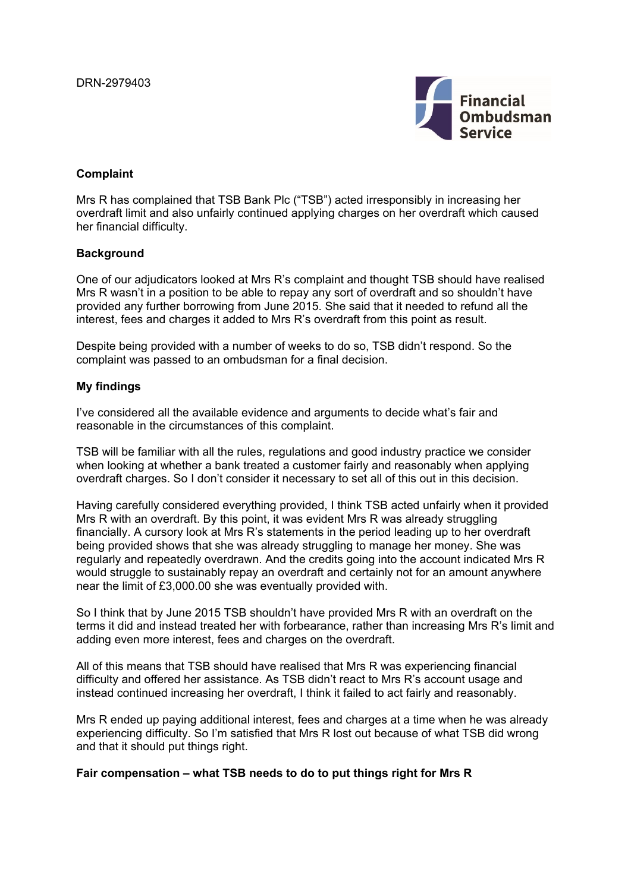

# **Complaint**

Mrs R has complained that TSB Bank Plc ("TSB") acted irresponsibly in increasing her overdraft limit and also unfairly continued applying charges on her overdraft which caused her financial difficulty.

## **Background**

One of our adjudicators looked at Mrs R's complaint and thought TSB should have realised Mrs R wasn't in a position to be able to repay any sort of overdraft and so shouldn't have provided any further borrowing from June 2015. She said that it needed to refund all the interest, fees and charges it added to Mrs R's overdraft from this point as result.

Despite being provided with a number of weeks to do so, TSB didn't respond. So the complaint was passed to an ombudsman for a final decision.

### **My findings**

I've considered all the available evidence and arguments to decide what's fair and reasonable in the circumstances of this complaint.

TSB will be familiar with all the rules, regulations and good industry practice we consider when looking at whether a bank treated a customer fairly and reasonably when applying overdraft charges. So I don't consider it necessary to set all of this out in this decision.

Having carefully considered everything provided, I think TSB acted unfairly when it provided Mrs R with an overdraft. By this point, it was evident Mrs R was already struggling financially. A cursory look at Mrs R's statements in the period leading up to her overdraft being provided shows that she was already struggling to manage her money. She was regularly and repeatedly overdrawn. And the credits going into the account indicated Mrs R would struggle to sustainably repay an overdraft and certainly not for an amount anywhere near the limit of £3,000.00 she was eventually provided with.

So I think that by June 2015 TSB shouldn't have provided Mrs R with an overdraft on the terms it did and instead treated her with forbearance, rather than increasing Mrs R's limit and adding even more interest, fees and charges on the overdraft.

All of this means that TSB should have realised that Mrs R was experiencing financial difficulty and offered her assistance. As TSB didn't react to Mrs R's account usage and instead continued increasing her overdraft, I think it failed to act fairly and reasonably.

Mrs R ended up paying additional interest, fees and charges at a time when he was already experiencing difficulty. So I'm satisfied that Mrs R lost out because of what TSB did wrong and that it should put things right.

### **Fair compensation – what TSB needs to do to put things right for Mrs R**